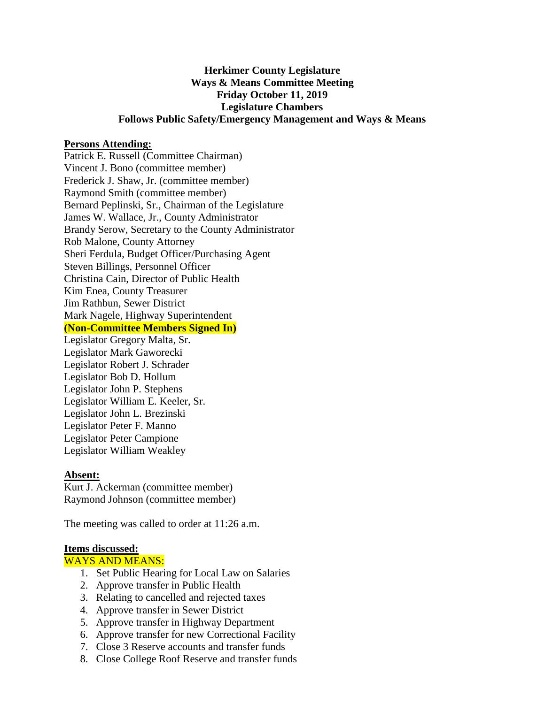## **Herkimer County Legislature Ways & Means Committee Meeting Friday October 11, 2019 Legislature Chambers Follows Public Safety/Emergency Management and Ways & Means**

#### **Persons Attending:**

Patrick E. Russell (Committee Chairman) Vincent J. Bono (committee member) Frederick J. Shaw, Jr. (committee member) Raymond Smith (committee member) Bernard Peplinski, Sr., Chairman of the Legislature James W. Wallace, Jr., County Administrator Brandy Serow, Secretary to the County Administrator Rob Malone, County Attorney Sheri Ferdula, Budget Officer/Purchasing Agent Steven Billings, Personnel Officer Christina Cain, Director of Public Health Kim Enea, County Treasurer Jim Rathbun, Sewer District Mark Nagele, Highway Superintendent **(Non-Committee Members Signed In)** Legislator Gregory Malta, Sr. Legislator Mark Gaworecki Legislator Robert J. Schrader Legislator Bob D. Hollum Legislator John P. Stephens Legislator William E. Keeler, Sr. Legislator John L. Brezinski

Legislator Peter F. Manno Legislator Peter Campione

Legislator William Weakley

#### **Absent:**

Kurt J. Ackerman (committee member) Raymond Johnson (committee member)

The meeting was called to order at 11:26 a.m.

#### **Items discussed:**

### WAYS AND MEANS:

- 1. Set Public Hearing for Local Law on Salaries
- 2. Approve transfer in Public Health
- 3. Relating to cancelled and rejected taxes
- 4. Approve transfer in Sewer District
- 5. Approve transfer in Highway Department
- 6. Approve transfer for new Correctional Facility
- 7. Close 3 Reserve accounts and transfer funds
- 8. Close College Roof Reserve and transfer funds